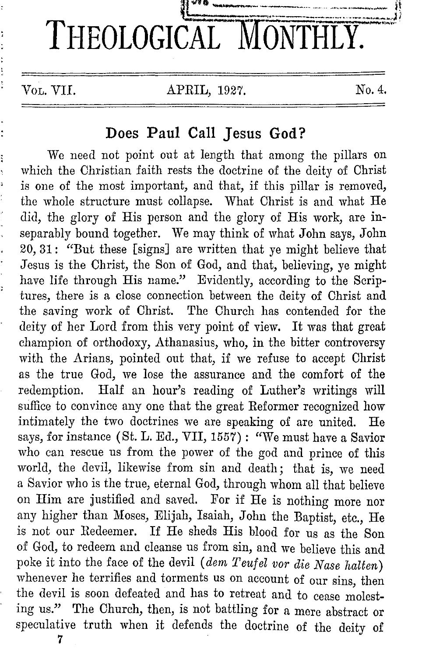

## **Does Paul Call Jesus God?**

We need not point out at length that among the pillars on which the Christian faith rests the doctrine of the deity of Christ is one of the most important, and that, if this pillar is removed, the whole structure must collapse. What Christ is and what He did, the glory of His person and the glory of His work, are inseparably bound together. We may think of what John says, John 20, 31: "But these [signs] are written that ye might believe that Jesus is the Christ, the Son of God, and that, believing, ye might have life through His name." Evidently, according to the Scriptures, there is a close connection between the deity of Christ and the saving work of Christ. The Church has contended for the deity of her Lord from this very point of view. It was that great champion of orthodoxy, Athanasius, who, in the bitter controversy with the Arians, pointed out that, if we refuse to accept Christ as the true God, we lose the assurance and the comfort of the redemption. Half an hour's reading of Luther's writings will suffice to convince any one that the great Reformer recognized how intimately the two doctrines we are speaking of are united. He says, for instance (St. L. Ed., VII, 1557): "We must have a Savior who can rescue us from the power of the god and prince of this world, the devil, likewise from sin and death; that is, we need a Savior who is the true, eternal God, through whom all that believe on Him are justified and saved. For if He is nothing more nor any higher than Moses, Elijah, Isaiah, John the Baptist, etc., He is not our Redeemer. If He sheds His blood for us as the Son of God, to redeem and cleanse us from sin, and we believe this and poke it into the face of the devil *(dem Teufel vor die Nase halten)*  whenever he terrifies and torments us on account of our sins, then the devil is soon defeated and has to retreat and to cease molesting us." The Church, then, is not battling for a mere abstract or speculative truth when it defends the doctrine of the deity of

7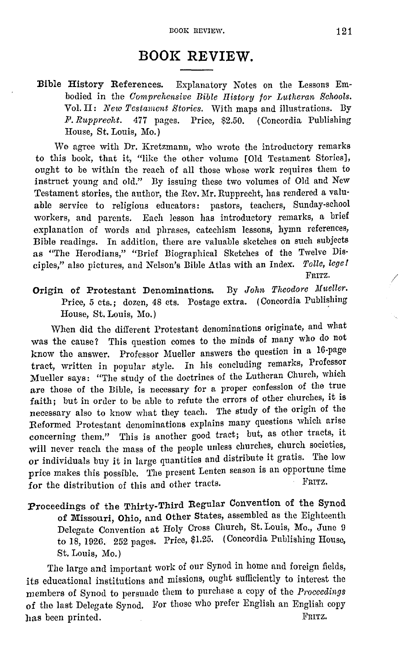## **BOOK REVIEW.**

**:Bible** History References. Explanatory Notes on the Lessons Embodied in the *Comprehensive Bible History for Lutheran Solwols.*  Vol. II: *New Testament Stories.* With maps and illustrations. By *1'. Rupprecht.* 477 pages. Price, \$2.50. ( Concordia Publishing House, St. Louis, Mo.)

We agree with Dr. Kretzmann, who wrote the introductory remarks to this book, that it, "like the other volume [Old Testament Stories], ought to be within the reach of all those whose work requires them to instruct young and old." By issuing these two volumes of Old and New Testament stories, the author, the Rev. Mr. Rupprecht, has rendered a valuable service to religious educators: pastors, teachers, Sunday-school workers, and parents. Each lesson has introductory remarks, a brief explanation of words and phrases, catechism lessons, hymn references, Bible readings. In addition, there are valuable sketches on such subjects as "The Herodians," "Brief Biographical Sketches of the Twelve Disciples," also pictures, and Nelson's Bible Atlas with an Index. *Tolle, lcge!*  FRITZ.

Origin of Protestant Denominations. By *John Theodore Mueller.*  Price, 5 cts.; dozen, 48 cts. Postage extra. (Concordia Publishing House, St. Louis, Mo.)

When did the different Protestant denominations originate, and what was the cause? This question comes to the minds of many who do not know tho answer. Professor Mueller answers the question in a 16-page tract, written in popular style. In liis concluding remarks, Professor Mueller says: "The study of the doctrines of the Lutheran Church, which are those of the Bible, is necessary for a proper confession of the true faith; but in order to be able to refute the errors of other churches, it is necessary also to know what they teach. The study of the origin of the Reformed Protestant denominations explains many questions which arise concerning them." This is another good tract; but, as other tracts, it will never reach the mass of the people unless churches, church societies, or individuals buy it in large quantities and distribute it gratis. The low price makes this possible. The present Lenten season is an opportune time for the distribution of this and other tracts.

:Proceedings of the Thirty-Third Regular Convention of the Synod of Missouri, Ohio, and Other States, assembled as the Eighteenth Delegate Convention at Holy Cross Church, St. Louis, Mo., June 9 to 18, 1926. 252 pages. Price, \$1.25. (Concordia Publishing House, St. Louis, Mo.)

The large and important work of our Synod in home and foreign fields, its educational institutions and missions, ought sufficiently to interest the members of Synod to persuade them to purchase a copy of the *Proceedings*  of the last Delegate Synod. For those who prefer English an English copy has been printed. FRITZ.

/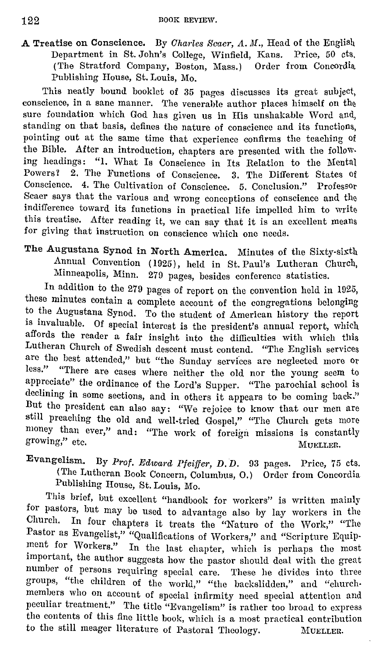A Treatise on Conscience. By *Oharles Scaer, A. M.,* Head of the English Department in St. John's College, Winfield, Kans. Price, 50 cts, (The Stratford Company, Boston, Mass.) Order from Concordia Publishing House, St. Louis, Mo.

This neatly bound booklet of 35 pages discusses its great subject, conscience, in a sane manner. The venerable author places himself on the sure foundation which God has given us in His unshakable Word and, standing on that basis, defines the nature of conscience and its functions, pointing out at the same time that experience confirms the teaehing of the Bible. After an introduction, chapters are presented with the following headings: "l. What Is Conscience in Its Relation to the Mental Powers? 2. The Functions of Conscience. 3. The Different States of Conscience. 4. The Cultivation of Conscience. 5. Conclusion." Professor Scaer says that the various and wrong conceptions of conscience and the indifference toward its functions in practical life impelled him to write this treatise. After reading it, we can say that it is an excellent means for giving that instruction on conscience which one needs.

The Augustana Synod in North America. Minutes of the Sixty-sixth Annual Convention ( 1925), held in St. Paul's Lutheran Church, Minneapolis, Minn. 270 pages, besides conference statistics.

In addition to the 270 pages of report on the convention held in 1025, these minutes contain a compiete account of the congregations belonging to the Augustana Synod. To the student of American history the report is invaluable. Of special interest is the president's annual report, which affords the reader a fair insight into the difficulties with which this Lutheran Church of Swedish descent must contend. "The English services arc the best attended," but "the Sunday services are neglected more or less." "There are cases where neither the old nor the young seem to appreciate" the ordinance of the Lord's Supper. "The parochial school is declining in some sections, and in others it appears to be coming back." But the president can also say: "We rejoice to know that our men are still preaching the old and well-tried Gospel," "The Church gets more money than ever," and: "The work of foreign missions is constantly growing," etc. Muellen.

Evangelism. By Prof. Edward Pfeiffer, D. D. 93 pages. Price, 75 cts. (The Lutheran Book Concern, Columbus, O.) Order from Concordia Publishing House, St. Louis, Mo.

This brief, but excellent "handbook for workers" is written mainly for pastors, but may be used to advantage also by lay workers in the Church. In four chapters it treats the "Nature of the Work," "The Pastor as Evangelist," "Qualifications of vVorkers," and "Scripture Equipment for Workers." In the last chapter, which is perhaps the most important, the author suggests how the pastor should deal with the great number of persons requiring special care. These he divides into three groups, "the children of the world," "the backslidden," and "church• members who on account of special infirmity need special attention and peculiar treatment." The title "Evangelism" is rather too broad to express the contents of this fine little book, which is a most practical contribution to the still meager literature of Pastoral Theology. MUELLER,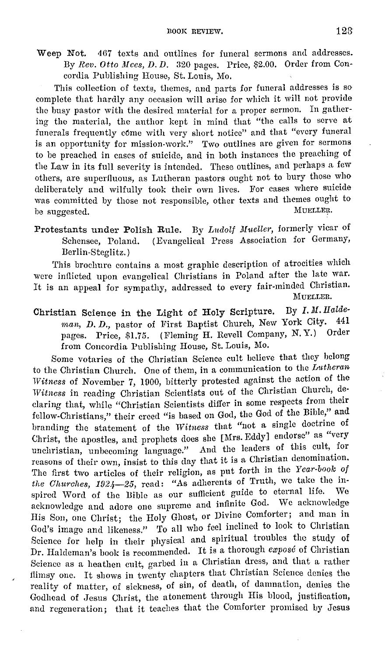Weep Not. 467 texts and outlines for funeral sermons and addresses. By *Rev. Otto Mees, D. D.* 320 pages. Price, \$2.00. Order from Concordia Publishing House, St. Louis, Mo.

This collection of texts, themes, and parts for funeral addresses is so complete that hardly any occasion will arise for which it will not provide the busy pastor with the desired material for a proper sermon. In gathering the material, the author kept in mind that "the calls to serve at funerals frequently come with very short notice" and that "every funeral is an opportunity for mission-work." Two outlines are given for sermons to be preached in cases of suicide, and in both instances the preaching of the Law in its full severity is intended. These outlines, and perhaps a few others, are superfluous, as Lutheran pastors ought not to bury those who deliberately and wilfully took their own lives. For cases where suicide was committed by those not responsible, other texts and themes ought to be suggested MUELLER. be suggested.

Protestants under Polish Rule. By *Lndolf Mueller,* formerly vicar of Schensee, Poland. (Evangelical Press Association for Germany, Berlin-Steglitz.)

This brochure contains a most graphic description of atrocities which were inflicted upon evangelical Christians in Poland after the late war. It is an appeal for sympathy, addressed to every fair-minded Christian. MUELLER.

Christian Science in the Light of Holy Scripture. By *I. M. Halde-*<br>
way *D. D. pasten of Wast Boatist Church* New York City. 441 *man, D. D., pastor of First Baptist Church, New York City.* pages. Price, \$1.75. (Fleming H. Revell Company, N.Y.) Order from Concordia Publishing House, St. Louis, Mo.

Some votaries of the Christian Science cult believe that they belong to the Christian Church. One of them, in a communication to the *Lutheran Witness* of November 7, 1900, bitterly protested against the action of the *Witness* in reading Christian Scientists out of the Christian Church, declaring that, while "Christian Scientists differ **in** some respects from their fellow-Christians," their creed "is based on God, the God of the Bible," and branding the statement of the *Witness* that "not a single doctrine of Christ, the apostles, and prophets does she [Mrs. Eddy] endorse" as "very unchristian, unbecoming language." And the leaders of this cult, for reasons of their own, insist to this day that it is a Christian denomination. The first two articles of their religion, as put forth in the *Year-boolc of*  the *Ohurehes, 1924-25,* read: "As adherents of Truth, we take the inspired Word of the Bible as our sufficient guide to eternal life. acknowledge and adore one supreme and infinite God. We acknowledge His Son, one Christ; the Holy Ghost, or Divine Comforter; and man in God's image and likeness." To all who feel inclined to look to Christian Science for help in their physical and spiritual troubles the study of Dr. Haldeman's book is recommended. It is a thorough *expose* of Christian Science as a heathen cult, garbed in a Christian dress, and that a rather flimsy one. It shows in twenty chapters that Christian Science denies the reality of matter, of sickness, of sin, of death, of damnation, denies the Godhead of Jesus Christ, the atonement through His blood, justification, and regeneration; that it teaches that the Comforter promised by Jesus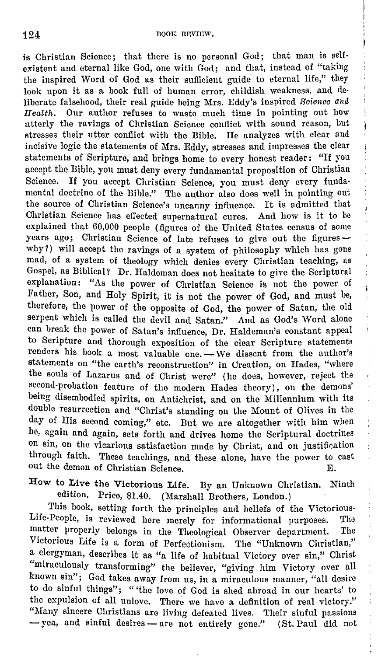j

is Christian Science; that there is no personal God; that man is selfexistent and eternal like God, one with God; and that, instead of "taking the inspired Word of God as their sufficient guide to eternal life," they look upon it as a book full of human error, childish weakness, and deliberate falsehood, their real guide being Mrs. Eddy's inspired Science and *Ileaith.* Our author refuses to waste much time in pointing out how utterly the ravings of Christian Science conflict with sound reason, but stresses their utter conflict with the Bible. He analyzes with clear and incisive logic the statements of Mrs. Eddy, stresses and impresses the clear statements of Scripture, and brings homo to every honest reader: "If you accept the Bible, you must deny every fundamental proposition of Christian Science. If you accept Christian Science, you must deny every fundamental doctrine of the Bible." The author also does well in pointing out the source of Christian Science's uncanny influence. It is admitted that Christian Science has effected supernatural cures. And how is it to be explained that 60,000 people (figures of the United States census of some years ago; Christian Science of late refuses to give out the figures why?) will accept the ravings of a system of philosophy which has gone mad, of a system of theology which denies every Christian teaching, as Gospel, as Biblical? Dr. Haldeman does not hesitate to give the Scriptural explanation: "As the power of Christian Science is not the power of Father, Son, and Holy Spirit, it is not the power of God, and must be, therefore, the power of the opposite of God, the power of Satan, the old serpent which is called the devil and Satan." And as God's Word alone can break the power of Satan's influence, Dr. Haldeman's constant appeal to Scripture and thorough exposition of the clear Scripture statements renders his book a most valuable one. - We dissent from the author's statements on "the earth's reconstruction" in Creation, on Hades, "where the souls of Lazarus and of Christ were" (he does, however, reject the second-probation feature of the modern Hades theory), on the demons' being disembodied spirits, on Antichrist, and on the Millennium with its double resurrection and "Christ's standing on the Mount of Olives in the day of His second coming," etc. But we are altogether with him when he, again and again, sets forth and drives home the Scriptural doctrines on sin, on the vicarious satisfaction made by Christ, and on justification through faith. These teachings, and these alone, have the power to cast out the demon of Christian Science. E.

How to Live the Victorious Life. By an Unknown Christian. Ninth edition. Price, \$1.40. (Marshall Brothers, London.)

'fhis book, setting forth the principles and beliefs of the Victorious-Life-People, is reviewed here merely for informational purposes. The matter properly belongs in the Theological Observer department. The Victorious Life is a form of Perfectionism. The "Unknown Christian," a clergyman, describes it as "a life of habitual Victory over sin," Christ "miraculously transforming" the believer, "giving him Victory over all known sin"; God takes away from us, in a miraculous manner, "all desire to do sinful things"; " 'the love of God is shed abroad in our hearts' to the expulsion of all unlove. There we have a definition of real victory." "Many sincere Christians are living defeated lives. Their sinful passions -yea, and sinful desires - are not entirely gone." (St. Paul did not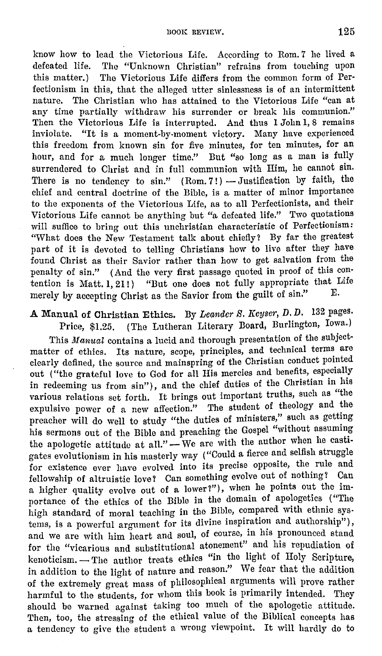know how to lead the Victorious Life. According to Rom. 7 he lived a defeated life. The "Unknown Christian" refrains from touching upon this matter.) The Victorious Life differs from the common form of Perfectionism in this, that the alleged utter sinlessness is of an intermittent nature. The Christian who has attained to the Victorious Life "can at any time partially withdraw his surrender or break his communion." Then the Victorious Life is interrupted. And thus I John 1, 8 remains inviolate. "It is a moment-by-moment victory. Many have experienced this freedom from known sin for five minutes, for ten minutes, for an hour, and for a much longer time." But "so long as a man is fully surrendered to Christ and in full communion with Him, he cannot sin. There is no tendency to sin."  $(Rom. 7!)$  - Justification by faith, the chief and central doctrine of the Bible, is a matter of minor importance to the exponents of the Victorious Life, as to all Perfectionists, and their Victorious Life cannot be anything but "a defeated life.'' Two quotations will suffice to bring out this unchristian characteristic of Perfectionism: "What does the New Testament talk about chiefly? By far the greatest part of it is devoted to telling Christians how to live after they have found Christ as their Savior rather than how to get salvation from the penalty of sin.'' (And the very first passage quoted in proof of this con· tention is Matt.  $1, 21$ ! ) "But one does not fully appropriate that Life money by consider Club for the Series from the guilt of sin." merely by accepting Christ as the Savior from the guilt of sin."

A Manual of Christian Ethics. By *Leander S. Keyser*, D.D. 132 pages.

Price, \$1.25. ( The Lutheran Literary Board, Burlington, Iowa.) This *Manual* contains a lucid and thorough presentation of the subjectmatter of ethics. Its nature, scope, principles, and technical terms are clearly defined, the source and mainspring of the Christian conduct pointed out ("the grateful love to God for all His mercies and benefits, especially in redeeming us from sin"), and the chief duties of the Christian in his various relations set forth. It brings out important truths, such as "the expulsive power of a new affection." The student of theology and the preacher will do well to study "the duties of ministers," such as getting his sermons out of the Bible and preaching the Gospel "without assuming the apologetic attitude at all." - We are with the author when he castigates evolutionism in his masterly way ("Could a fierce and selfish struggle for existence ever have evolved into its precise opposite, the rule and fellowship of altruistic love? Can something evolve out of nothing? Can a higher quality evolve out of a lower?"), when he points out the importance of the ethics of the Bible in the domain of apologetics ("The high standard of moral teaching in the Bible, compared with ethnic systems, is a powerful argument for its divine inspiration and authorship"), and we are with him heart and soul, of course, in his pronounced stand for the "vicarious and substitutional atonement" and his repudiation of kenoticism. - The author treats ethics "in the light of Holy Scripture, in addition to the light of nature and reason." We fear that the addition of the extremely great mass of philosophical arguments will prove rather harmful to the students, for whom this book is primarily intended. They should be warned against taking too much of the apologetic attitude. Then, too, the stressing of the ethical value of the Biblical concepts has a tendency to give the student a wrong viewpoint. It will hardly do to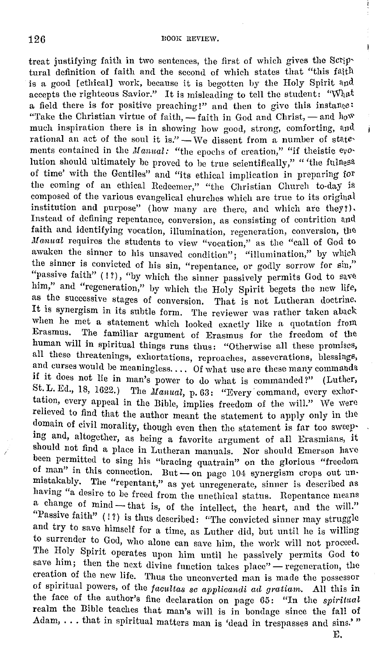treat justifying faith in two sentences, the first of which gives the Scrip' tural definition of faith and the second of which states that "this fa\th is a good [ethical] work, because it is begotten by the Holy Spirit and accepts the righteous Savior." It is misleading to tell the student: "What a field there is for positive preaching!" and then to give this instanee: "Take the Christian virtue of faith,  $-\text{faith}$  in God and Christ,  $-\text{and } \text{how}$ much inspiration there is in showing how good, strong, comforting, and rational an act of the soul it is."  $\overline{\phantom{a}}$  We dissent from a number of statements contained in the Manual: "the epochs of creation," "if theistic evolution should ultimately be proved to be true scientifically," "'the falness of time' with the Gentiles" and "its ethical implication in preparing for the coming of an ethical Redeemer," "the Christian Church to-day is composed of the various evangelical churches which are true to its original institution and purpose" (how many are there, and which are they!). Instead of defining repentance, conversion, as consisting of contrition and faith and identifying vocation, illumination, regeneration, conversion, the Manual requires the students to view "vocation," as the "call of God to awaken the sinner to his unsaved condition"; "illumination," by which the sinner is convicted of his sin, "repentance, or godly sorrow for sin,'' "passive faith" (1?), "by which the sinner passively permits God to save him," and "regeneration," by which the Holy Spirit begets the new life, as the suecessive stages of conversion. That is not Lutheran doctrine. It is synergism in its subtle form. The reviewer was rather taken aback when he met a statement which looked exactly like a quotation from Erasmus. The familiar argument of Erasmus for the freedom of the human will in spiritual things runs thus: "Otherwise all these promises, all these threatenings, exhortations, reproaches, asseverations, blessings, and curses would be meaningless.... Of what use are these many commands if it does not lie in man's power to do what is commanded?" (Luther, St. L. Ed., 18, 1622.) The  $n$ anual, p. 63: "Every command, every exhortation, every appeal in the Bible, implies freedom of the will." We were relieved to find that the author meant the statement to apply only in the domain of civil morality, though even then the statement is far too sweepmg and, altogether, as being a favorite argument of all Erasmians, it should not find a place in Lutheran manuals. Nor should Emerson have been permitted to sing his "braeing quatrain" on the glorious "freedom of man" in this connection. But  $-$  on page 104 synergism crops out unmistakably. The "repentant," as yet unregenerate, sinner is described as having "a desire to be freed from the unethical status. Repentance means a change of mind-that is, of the intellect, the heart, and the will." "Passive faith" ( ! ?) is thus described: "'l'he convicted sinner may struggle and try to save himself for a time, as Luther did, but until he is willing to surrender to God, who alone can save him, the work will not proceed. The Holy Spirit operates upon him until he passively permits God to save him; then the next divine function takes place" - regeneration, the creation of the new life. 'l'hus the unconverted man is made the possessor of spiritual powers, of the *facultas se applicandi ad gratiam*. All this in the face of the author's fine declaration on page 65: "In the spiritual realm the Bible teaches that man's will is in bondage since the fall of Adam, ... that in spiritual matters man is 'dead in trespasses and sins.'"

E.

Í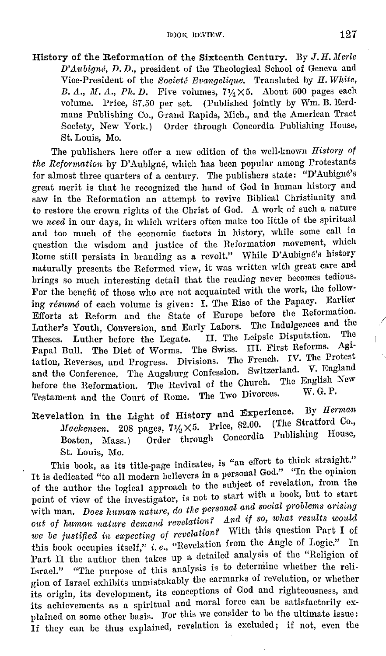History of the Reformation of the Sixteenth Century. By J. *H. Merle D'Aubigne, D. D.,* president of the Theological School of Geneva and Vice-President of the *ffooiete Evangelique.* Translated by H. *White,*  B. A., M. A., Ph. D. Five volumes,  $7\frac{1}{4}\times5$ . About 500 pages each volume. Price, \$7.50 per set. (Published jointly by Wm. B. Eerdmans Publishing Co., Grand Rapids, Mich., and the American Tract Society, New York.) Order through Concordia Publishing House, St. Louis, Mo.

The publishers here offer a new edition of the well-known *History of the Reformation* by D'Aubigne, which has been popular among Protestants for almost three quarters of a century. The publishers state: "D'Aubigné's great merit is that he recognized the lumd of God in human history and saw in the Reformation an attempt to revive Biblical Christianity and to restore the crown rights of the Christ of God. A work of such a nature we *need* in our days, in which writers often make too little of the spiritual and too much of the economic factors in history, while some call in question the wisdom and justice of the Reformation movement, which Rome still persists in branding as a revolt." While D'Aubigne's history naturally presents the Reformed view, it was written with great care and brings so much interesting detail that the reading never becomes tedious. For the benefit of those who are not acquainted with the work, the following *resume* of each volume is given: I. The Rise of the Papacy. Earlier Efforts at Reform and the State of Europe before the Reformation. Luther's Youth, Conversion, and Early Labors. The Indulgences and the Theses. Luther before the Legate. II. The Leipsic Disputation. Papal Bull. The Diet of Worms. The Swiss. III. First Reforms. Agi· tation, Reverses, and Progress. Divisions. The French. IV. The Protest and the Conference, The Augsburg Confession. Switzerland. V. England before the Reformation. The Revival of the Church. The English New Testament and the Court of Rome. The Two Divorces.

Revelation in the Light of History and Experience. By *Herman Mackensen.* 208 pages,  $7\frac{1}{2} \times 5$ . Price, \$2.00. (The Stratford Co., Boston, Mass.) Order through Concordia Publlslung House, St. Louis, Mo.

This book, as its title-page indicates, is "an effort to think straight." It is dedicated "to all modern believers in a personal God." "In the opinion of the author the logical approach to the subject of revelation, from the point of view of the investigator, is not to start with a book, but to start with man. *Does human nature, do the personal and social problems arising* out of human nature demand revelation? And if so, what results would *we be justified in expecting of revelation?* With this question Part I of this book occupies itself," *i.e.,* "Revelation from the Angle of Logic." In Part II the author then takes up a detailed analysis of the "Religion of Israel." "The purpose of this analysis is to determine whether the religion of Israel exhibits unmistakably the earmarks of revelation, or whether its origin, its development, its conceptions of God and righteousness, and its achievements as a spiritual and moral force can be satisfactorily explained on some other basis. For this we consider to be the ultimate issue: If they can be thus explained, revelation is excluded; if not, even the

/